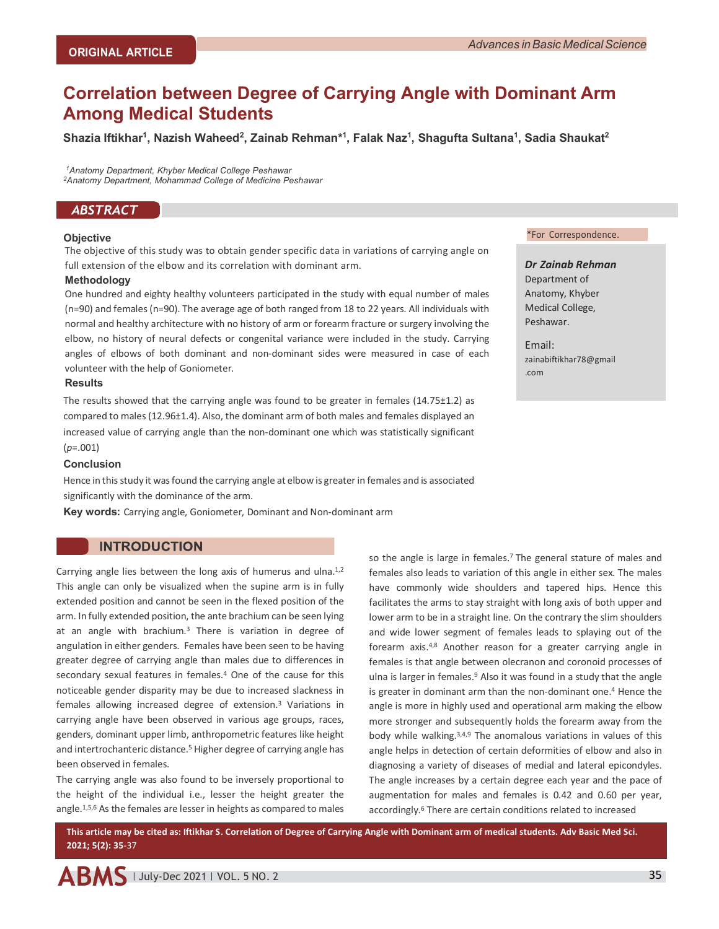# **Correlation between Degree of Carrying Angle with Dominant Arm Among Medical Students**

**Shazia Iftikhar1, Nazish Waheed2, Zainab Rehman\*1 , Falak Naz1 , Shagufta Sultana1, Sadia Shaukat2**

*1Anatomy Department, Khyber Medical College Peshawar 2Anatomy Department, Mohammad College of Medicine Peshawar*

#### ABSTRACT

#### **Objective**

The objective of this study was to obtain gender specific data in variations of carrying angle on full extension of the elbow and its correlation with dominant arm.

#### **Methodology**

One hundred and eighty healthy volunteers participated in the study with equal number of males (n=90) and females (n=90). The average age of both ranged from 18 to 22 years. All individuals with normal and healthy architecture with no history of arm or forearm fracture or surgery involving the elbow, no history of neural defects or congenital variance were included in the study. Carrying angles of elbows of both dominant and non-dominant sides were measured in case of each volunteer with the help of Goniometer.

#### **Results**

The results showed that the carrying angle was found to be greater in females (14.75±1.2) as compared to males (12.96±1.4). Also, the dominant arm of both males and females displayed an increased value of carrying angle than the non-dominant one which was statistically significant (*p*=.001)

#### **Conclusion**

Hence in this study it was found the carrying angle at elbow is greater in females and is associated significantly with the dominance of the arm.

**Key words:** Carrying angle, Goniometer, Dominant and Non-dominant arm

## **INTRODUCTION**

Carrying angle lies between the long axis of humerus and ulna. $1,2$ This angle can only be visualized when the supine arm is in fully extended position and cannot be seen in the flexed position of the arm. In fully extended position, the ante brachium can be seen lying at an angle with brachium.3 There is variation in degree of angulation in either genders. Females have been seen to be having greater degree of carrying angle than males due to differences in secondary sexual features in females.<sup>4</sup> One of the cause for this noticeable gender disparity may be due to increased slackness in females allowing increased degree of extension.3 Variations in carrying angle have been observed in various age groups, races, genders, dominant upper limb, anthropometric features like height and intertrochanteric distance.5 Higher degree of carrying angle has been observed in females.

The carrying angle was also found to be inversely proportional to the height of the individual i.e., lesser the height greater the angle.1,5,6 As the females are lesser in heights as compared to males so the angle is large in females.<sup>7</sup> The general stature of males and females also leads to variation of this angle in either sex. The males have commonly wide shoulders and tapered hips. Hence this facilitates the arms to stay straight with long axis of both upper and lower arm to be in a straight line. On the contrary the slim shoulders and wide lower segment of females leads to splaying out of the forearm axis.4,8 Another reason for a greater carrying angle in females is that angle between olecranon and coronoid processes of ulna is larger in females.<sup>9</sup> Also it was found in a study that the angle is greater in dominant arm than the non-dominant one.<sup>4</sup> Hence the angle is more in highly used and operational arm making the elbow more stronger and subsequently holds the forearm away from the body while walking.3,4,9 The anomalous variations in values of this angle helps in detection of certain deformities of elbow and also in diagnosing a variety of diseases of medial and lateral epicondyles. The angle increases by a certain degree each year and the pace of augmentation for males and females is 0.42 and 0.60 per year, accordingly.<sup>6</sup> There are certain conditions related to increased

**This article may be cited as: Iftikhar S. Correlation of Degree of Carrying Angle with Dominant arm of medical students. Adv Basic Med Sci. 2021; 5(2): 35**-37

### \*For Correspondence.

#### *Dr Zainab Rehman*

Department of Anatomy, Khyber Medical College, Peshawar.

Email: zainabiftikhar78@gmail .com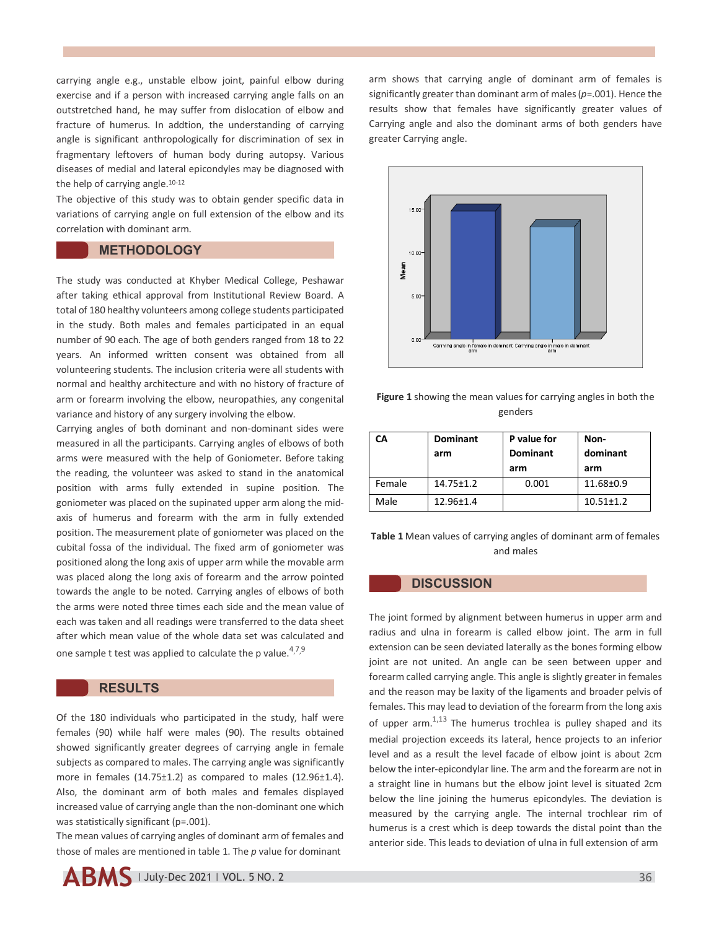carrying angle e.g., unstable elbow joint, painful elbow during exercise and if a person with increased carrying angle falls on an outstretched hand, he may suffer from dislocation of elbow and fracture of humerus. In addtion, the understanding of carrying angle is significant anthropologically for discrimination of sex in fragmentary leftovers of human body during autopsy. Various diseases of medial and lateral epicondyles may be diagnosed with the help of carrying angle.10-12

The objective of this study was to obtain gender specific data in variations of carrying angle on full extension of the elbow and its correlation with dominant arm.

## **METHODOLOGY**

The study was conducted at Khyber Medical College, Peshawar after taking ethical approval from Institutional Review Board. A total of 180 healthy volunteers among college students participated in the study. Both males and females participated in an equal number of 90 each. The age of both genders ranged from 18 to 22 years. An informed written consent was obtained from all volunteering students. The inclusion criteria were all students with normal and healthy architecture and with no history of fracture of arm or forearm involving the elbow, neuropathies, any congenital variance and history of any surgery involving the elbow.

Carrying angles of both dominant and non-dominant sides were measured in all the participants. Carrying angles of elbows of both arms were measured with the help of Goniometer. Before taking the reading, the volunteer was asked to stand in the anatomical position with arms fully extended in supine position. The goniometer was placed on the supinated upper arm along the midaxis of humerus and forearm with the arm in fully extended position. The measurement plate of goniometer was placed on the cubital fossa of the individual. The fixed arm of goniometer was positioned along the long axis of upper arm while the movable arm was placed along the long axis of forearm and the arrow pointed towards the angle to be noted. Carrying angles of elbows of both the arms were noted three times each side and the mean value of each was taken and all readings were transferred to the data sheet after which mean value of the whole data set was calculated and one sample t test was applied to calculate the p value.<sup>47,9</sup>

## **RESULTS**

Of the 180 individuals who participated in the study, half were females (90) while half were males (90). The results obtained showed significantly greater degrees of carrying angle in female subjects as compared to males. The carrying angle was significantly more in females (14.75±1.2) as compared to males (12.96±1.4). Also, the dominant arm of both males and females displayed increased value of carrying angle than the non-dominant one which was statistically significant (p=.001).

The mean values of carrying angles of dominant arm of females and those of males are mentioned in table 1. The *p* value for dominant



arm shows that carrying angle of dominant arm of females is significantly greater than dominant arm of males(*p*=.001). Hence the results show that females have significantly greater values of Carrying angle and also the dominant arms of both genders have greater Carrying angle.



**Figure 1** showing the mean values for carrying angles in both the genders

| СA     | <b>Dominant</b><br>arm | P value for<br><b>Dominant</b><br>arm | Non-<br>dominant<br>arm |
|--------|------------------------|---------------------------------------|-------------------------|
| Female | $14.75 \pm 1.2$        | 0.001                                 | 11.68±0.9               |
| Male   | 12.96±1.4              |                                       | $10.51 \pm 1.2$         |

**Table 1** Mean values of carrying angles of dominant arm of females and males

## **DISCUSSION**

The joint formed by alignment between humerus in upper arm and radius and ulna in forearm is called elbow joint. The arm in full extension can be seen deviated laterally as the bones forming elbow joint are not united. An angle can be seen between upper and forearm called carrying angle. This angle is slightly greater in females and the reason may be laxity of the ligaments and broader pelvis of females. This may lead to deviation of the forearm from the long axis of upper arm. $1,13$  The humerus trochlea is pulley shaped and its medial projection exceeds its lateral, hence projects to an inferior level and as a result the level facade of elbow joint is about 2cm below the inter-epicondylar line. The arm and the forearm are not in a straight line in humans but the elbow joint level is situated 2cm below the line joining the humerus epicondyles. The deviation is measured by the carrying angle. The internal trochlear rim of humerus is a crest which is deep towards the distal point than the anterior side. This leads to deviation of ulna in full extension of arm